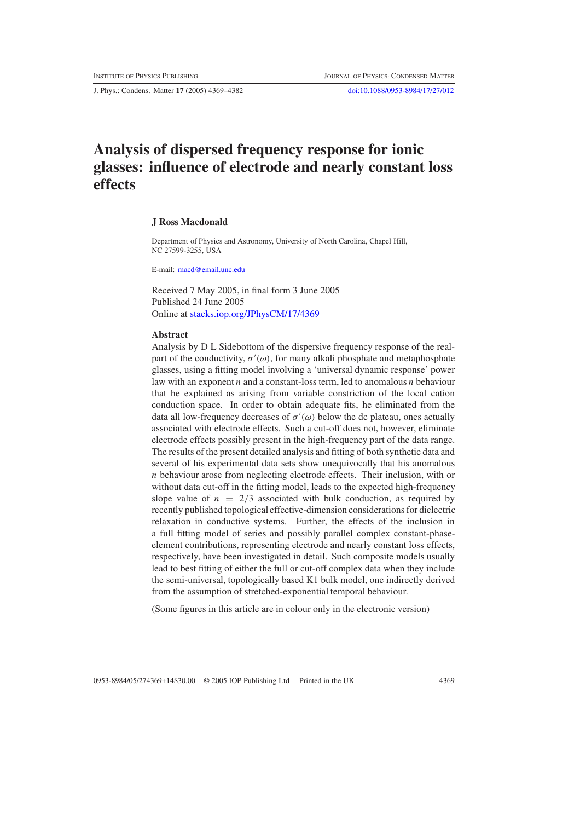J. Phys.: Condens. Matter **17** (2005) 4369–4382 [doi:10.1088/0953-8984/17/27/012](http://dx.doi.org/10.1088/0953-8984/17/27/012)

# **Analysis of dispersed frequency response for ionic glasses: influence of electrode and nearly constant loss effects**

#### **J Ross Macdonald**

Department of Physics and Astronomy, University of North Carolina, Chapel Hill, NC 27599-3255, USA

E-mail: [macd@email.unc.edu](mailto:macd@email.unc.edu)

Received 7 May 2005, in final form 3 June 2005 Published 24 June 2005 Online at [stacks.iop.org/JPhysCM/17/4369](http://stacks.iop.org/JPhysCM/17/4369)

### **Abstract**

Analysis by D L Sidebottom of the dispersive frequency response of the realpart of the conductivity,  $\sigma'(\omega)$ , for many alkali phosphate and metaphosphate glasses, using a fitting model involving a 'universal dynamic response' power law with an exponent *n* and a constant-loss term, led to anomalous *n* behaviour that he explained as arising from variable constriction of the local cation conduction space. In order to obtain adequate fits, he eliminated from the data all low-frequency decreases of  $\sigma'(\omega)$  below the dc plateau, ones actually associated with electrode effects. Such a cut-off does not, however, eliminate electrode effects possibly present in the high-frequency part of the data range. The results of the present detailed analysis and fitting of both synthetic data and several of his experimental data sets show unequivocally that his anomalous *n* behaviour arose from neglecting electrode effects. Their inclusion, with or without data cut-off in the fitting model, leads to the expected high-frequency slope value of  $n = 2/3$  associated with bulk conduction, as required by recently published topological effective-dimension considerations for dielectric relaxation in conductive systems. Further, the effects of the inclusion in a full fitting model of series and possibly parallel complex constant-phaseelement contributions, representing electrode and nearly constant loss effects, respectively, have been investigated in detail. Such composite models usually lead to best fitting of either the full or cut-off complex data when they include the semi-universal, topologically based K1 bulk model, one indirectly derived from the assumption of stretched-exponential temporal behaviour.

(Some figures in this article are in colour only in the electronic version)

0953-8984/05/274369+14\$30.00 © 2005 IOP Publishing Ltd Printed in the UK 4369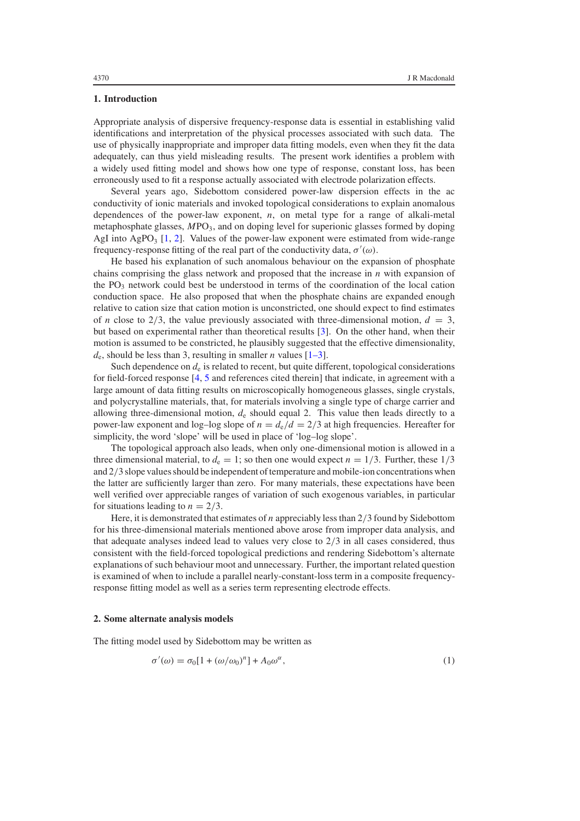## <span id="page-1-1"></span>**1. Introduction**

Appropriate analysis of dispersive frequency-response data is essential in establishing valid identifications and interpretation of the physical processes associated with such data. The use of physically inappropriate and improper data fitting models, even when they fit the data adequately, can thus yield misleading results. The present work identifies a problem with a widely used fitting model and shows how one type of response, constant loss, has been erroneously used to fit a response actually associated with electrode polarization effects.

Several years ago, Sidebottom considered power-law dispersion effects in the ac conductivity of ionic materials and invoked topological considerations to explain anomalous dependences of the power-law exponent, *n*, on metal type for a range of alkali-metal metaphosphate glasses, *M*PO3, and on doping level for superionic glasses formed by doping AgI into  $AgPO_3$  [\[1,](#page-13-0) [2\]](#page-13-1). Values of the power-law exponent were estimated from wide-range frequency-response fitting of the real part of the conductivity data,  $\sigma'(\omega)$ .

He based his explanation of such anomalous behaviour on the expansion of phosphate chains comprising the glass network and proposed that the increase in *n* with expansion of the  $PO_3$  network could best be understood in terms of the coordination of the local cation conduction space. He also proposed that when the phosphate chains are expanded enough relative to cation size that cation motion is unconstricted, one should expect to find estimates of *n* close to 2/3, the value previously associated with three-dimensional motion,  $d = 3$ , but based on experimental rather than theoretical results [\[3\]](#page-13-2). On the other hand, when their motion is assumed to be constricted, he plausibly suggested that the effective dimensionality,  $d_e$ , should be less than 3, resulting in smaller *n* values  $[1-3]$ .

Such dependence on  $d_e$  is related to recent, but quite different, topological considerations for field-forced response [\[4,](#page-13-3) [5](#page-13-4) and references cited therein] that indicate, in agreement with a large amount of data fitting results on microscopically homogeneous glasses, single crystals, and polycrystalline materials, that, for materials involving a single type of charge carrier and allowing three-dimensional motion,  $d_e$  should equal 2. This value then leads directly to a power-law exponent and log–log slope of  $n = d_e/d = 2/3$  at high frequencies. Hereafter for simplicity, the word 'slope' will be used in place of 'log–log slope'.

The topological approach also leads, when only one-dimensional motion is allowed in a three dimensional material, to  $d_e = 1$ ; so then one would expect  $n = 1/3$ . Further, these  $1/3$ and 2/3 slope values should be independent of temperature and mobile-ion concentrations when the latter are sufficiently larger than zero. For many materials, these expectations have been well verified over appreciable ranges of variation of such exogenous variables, in particular for situations leading to  $n = 2/3$ .

<span id="page-1-2"></span>Here, it is demonstrated that estimates of *n* appreciably less than 2/3 found by Sidebottom for his three-dimensional materials mentioned above arose from improper data analysis, and that adequate analyses indeed lead to values very close to  $2/3$  in all cases considered, thus consistent with the field-forced topological predictions and rendering Sidebottom's alternate explanations of such behaviour moot and unnecessary. Further, the important related question is examined of when to include a parallel nearly-constant-loss term in a composite frequencyresponse fitting model as well as a series term representing electrode effects.

#### <span id="page-1-0"></span>**2. Some alternate analysis models**

The fitting model used by Sidebottom may be written as

$$
\sigma'(\omega) = \sigma_0[1 + (\omega/\omega_0)^n] + A_0\omega^\alpha,
$$
\n(1)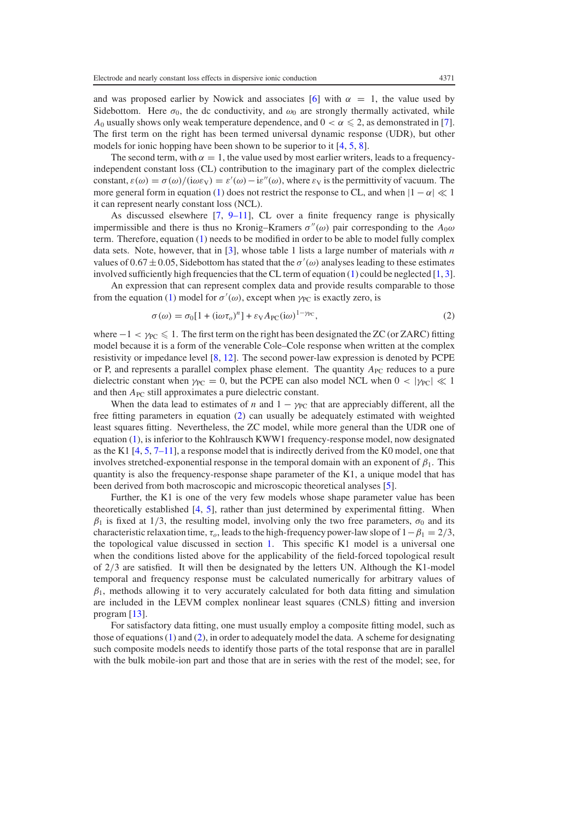and was proposed earlier by Nowick and associates [\[6\]](#page-13-5) with  $\alpha = 1$ , the value used by Sidebottom. Here  $\sigma_0$ , the dc conductivity, and  $\omega_0$  are strongly thermally activated, while *A*<sub>0</sub> usually shows only weak temperature dependence, and  $0 < \alpha \leq 2$ , as demonstrated in [\[7\]](#page-13-6). The first term on the right has been termed universal dynamic response (UDR), but other models for ionic hopping have been shown to be superior to it [\[4,](#page-13-3) [5,](#page-13-4) [8\]](#page-13-7).

The second term, with  $\alpha = 1$ , the value used by most earlier writers, leads to a frequencyindependent constant loss (CL) contribution to the imaginary part of the complex dielectric constant,  $\varepsilon(\omega) = \sigma(\omega) / (i\omega \varepsilon_V) = \varepsilon'(\omega) - i\varepsilon''(\omega)$ , where  $\varepsilon_V$  is the permittivity of vacuum. The more general form in equation [\(1\)](#page-1-0) does not restrict the response to CL, and when  $|1 - \alpha| \ll 1$ it can represent nearly constant loss (NCL).

<span id="page-2-0"></span>As discussed elsewhere  $[7, 9-11]$  $[7, 9-11]$ , CL over a finite frequency range is physically impermissible and there is thus no Kronig–Kramers  $\sigma''(\omega)$  pair corresponding to the  $A_0\omega$ term. Therefore, equation [\(1\)](#page-1-0) needs to be modified in order to be able to model fully complex data sets. Note, however, that in [\[3\]](#page-13-2), whose table 1 lists a large number of materials with *n* values of 0.67  $\pm$  0.05, Sidebottom has stated that the  $\sigma'(\omega)$  analyses leading to these estimates involved sufficiently high frequencies that the CL term of equation  $(1)$  could be neglected  $[1, 3]$  $[1, 3]$  $[1, 3]$ .

An expression that can represent complex data and provide results comparable to those from the equation [\(1\)](#page-1-0) model for  $\sigma'(\omega)$ , except when  $\gamma_{PC}$  is exactly zero, is

$$
\sigma(\omega) = \sigma_0[1 + (i\omega\tau_o)^n] + \varepsilon_V A_{PC}(i\omega)^{1-\gamma_{PC}},
$$
\n(2)

where  $-1 < \gamma_{PC} \leq 1$ . The first term on the right has been designated the ZC (or ZARC) fitting model because it is a form of the venerable Cole–Cole response when written at the complex resistivity or impedance level [\[8,](#page-13-7) [12\]](#page-13-9). The second power-law expression is denoted by PCPE or P, and represents a parallel complex phase element. The quantity  $A_{PC}$  reduces to a pure dielectric constant when  $\gamma_{PC} = 0$ , but the PCPE can also model NCL when  $0 < |\gamma_{PC}| \ll 1$ and then *A*<sub>PC</sub> still approximates a pure dielectric constant.

When the data lead to estimates of *n* and  $1 - \gamma_{PC}$  that are appreciably different, all the free fitting parameters in equation [\(2\)](#page-2-0) can usually be adequately estimated with weighted least squares fitting. Nevertheless, the ZC model, while more general than the UDR one of equation [\(1\)](#page-1-0), is inferior to the Kohlrausch KWW1 frequency-response model, now designated as the K1 [\[4,](#page-13-3) [5,](#page-13-4) [7–11\]](#page-13-6), a response model that is indirectly derived from the K0 model, one that involves stretched-exponential response in the temporal domain with an exponent of  $\beta_1$ . This quantity is also the frequency-response shape parameter of the K1, a unique model that has been derived from both macroscopic and microscopic theoretical analyses [\[5\]](#page-13-4).

Further, the K1 is one of the very few models whose shape parameter value has been theoretically established [\[4,](#page-13-3) [5\]](#page-13-4), rather than just determined by experimental fitting. When  $\beta_1$  is fixed at 1/3, the resulting model, involving only the two free parameters,  $\sigma_0$  and its characteristic relaxation time,  $\tau_o$ , leads to the high-frequency power-law slope of  $1-\beta_1 = 2/3$ , the topological value discussed in section [1.](#page-1-1) This specific K1 model is a universal one when the conditions listed above for the applicability of the field-forced topological result of 2/3 are satisfied. It will then be designated by the letters UN. Although the K1-model temporal and frequency response must be calculated numerically for arbitrary values of  $\beta_1$ , methods allowing it to very accurately calculated for both data fitting and simulation are included in the LEVM complex nonlinear least squares (CNLS) fitting and inversion program [\[13\]](#page-13-10).

For satisfactory data fitting, one must usually employ a composite fitting model, such as those of equations  $(1)$  and  $(2)$ , in order to adequately model the data. A scheme for designating such composite models needs to identify those parts of the total response that are in parallel with the bulk mobile-ion part and those that are in series with the rest of the model; see, for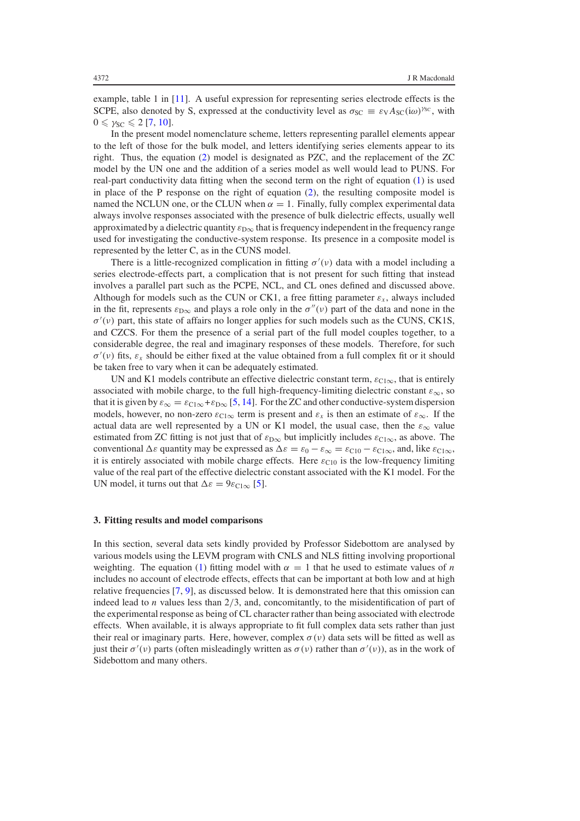example, table 1 in [\[11\]](#page-13-11). A useful expression for representing series electrode effects is the SCPE, also denoted by S, expressed at the conductivity level as  $\sigma_{SC} \equiv \varepsilon_V A_{SC}(i\omega)^{\gamma_{SC}}$ , with  $0 \leq \gamma_{SC} \leqslant 2$  [\[7,](#page-13-6) [10\]](#page-13-12).

In the present model nomenclature scheme, letters representing parallel elements appear to the left of those for the bulk model, and letters identifying series elements appear to its right. Thus, the equation [\(2\)](#page-2-0) model is designated as PZC, and the replacement of the ZC model by the UN one and the addition of a series model as well would lead to PUNS. For real-part conductivity data fitting when the second term on the right of equation [\(1\)](#page-1-0) is used in place of the P response on the right of equation [\(2\)](#page-2-0), the resulting composite model is named the NCLUN one, or the CLUN when  $\alpha = 1$ . Finally, fully complex experimental data always involve responses associated with the presence of bulk dielectric effects, usually well approximated by a dielectric quantity  $\varepsilon_{\text{D}\infty}$  that is frequency independent in the frequency range used for investigating the conductive-system response. Its presence in a composite model is represented by the letter C, as in the CUNS model.

There is a little-recognized complication in fitting  $\sigma'(v)$  data with a model including a series electrode-effects part, a complication that is not present for such fitting that instead involves a parallel part such as the PCPE, NCL, and CL ones defined and discussed above. Although for models such as the CUN or CK1, a free fitting parameter  $\varepsilon_x$ , always included in the fit, represents  $\varepsilon_{\text{D}\infty}$  and plays a role only in the  $\sigma''(v)$  part of the data and none in the  $\sigma'(\nu)$  part, this state of affairs no longer applies for such models such as the CUNS, CK1S, and CZCS. For them the presence of a serial part of the full model couples together, to a considerable degree, the real and imaginary responses of these models. Therefore, for such  $\sigma'(v)$  fits,  $\varepsilon_x$  should be either fixed at the value obtained from a full complex fit or it should be taken free to vary when it can be adequately estimated.

UN and K1 models contribute an effective dielectric constant term,  $\varepsilon_{C1\infty}$ , that is entirely associated with mobile charge, to the full high-frequency-limiting dielectric constant  $\varepsilon_{\infty}$ , so that it is given by  $\varepsilon_{\infty} = \varepsilon_{C1\infty} + \varepsilon_{D\infty}$  [\[5,](#page-13-4) [14\]](#page-13-13). For the ZC and other conductive-system dispersion models, however, no non-zero  $\varepsilon_{C1\infty}$  term is present and  $\varepsilon_x$  is then an estimate of  $\varepsilon_{\infty}$ . If the actual data are well represented by a UN or K1 model, the usual case, then the  $\varepsilon_{\infty}$  value estimated from ZC fitting is not just that of  $\varepsilon_{\text{D}\infty}$  but implicitly includes  $\varepsilon_{\text{Cl}\infty}$ , as above. The conventional  $\Delta \varepsilon$  quantity may be expressed as  $\Delta \varepsilon = \varepsilon_0 - \varepsilon_{\infty} = \varepsilon_{C10} - \varepsilon_{C1\infty}$ , and, like  $\varepsilon_{C1\infty}$ , it is entirely associated with mobile charge effects. Here  $\varepsilon_{C10}$  is the low-frequency limiting value of the real part of the effective dielectric constant associated with the K1 model. For the UN model, it turns out that  $\Delta \varepsilon = 9\varepsilon_{C1\infty}$  [\[5\]](#page-13-4).

## **3. Fitting results and model comparisons**

In this section, several data sets kindly provided by Professor Sidebottom are analysed by various models using the LEVM program with CNLS and NLS fitting involving proportional weighting. The equation [\(1\)](#page-1-0) fitting model with  $\alpha = 1$  that he used to estimate values of *n* includes no account of electrode effects, effects that can be important at both low and at high relative frequencies [\[7,](#page-13-6) [9\]](#page-13-8), as discussed below. It is demonstrated here that this omission can indeed lead to *n* values less than 2/3, and, concomitantly, to the misidentification of part of the experimental response as being of CL character rather than being associated with electrode effects. When available, it is always appropriate to fit full complex data sets rather than just their real or imaginary parts. Here, however, complex  $\sigma(\nu)$  data sets will be fitted as well as just their  $\sigma'(v)$  parts (often misleadingly written as  $\sigma(v)$  rather than  $\sigma'(v)$ ), as in the work of Sidebottom and many others.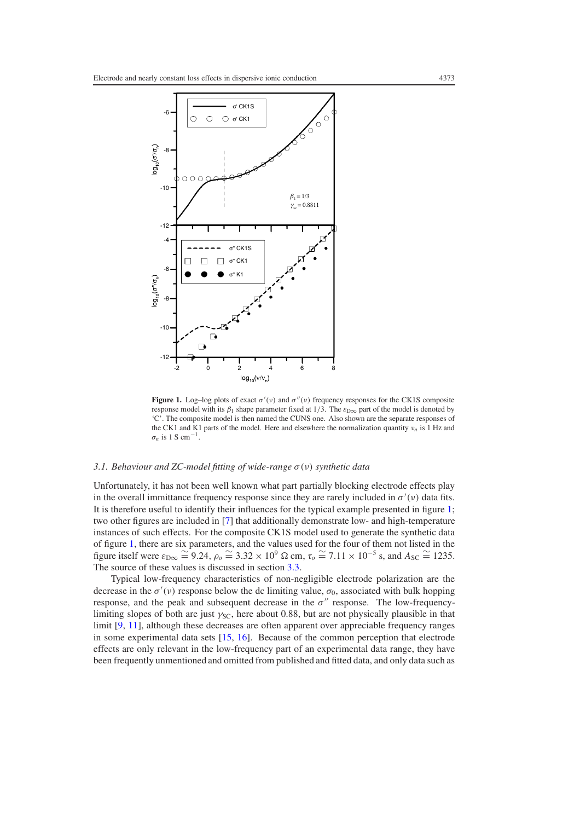<span id="page-4-0"></span>

**Figure 1.** Log-log plots of exact  $\sigma'(v)$  and  $\sigma''(v)$  frequency responses for the CK1S composite response model with its  $\beta_1$  shape parameter fixed at 1/3. The  $\varepsilon_{D\infty}$  part of the model is denoted by 'C'. The composite model is then named the CUNS one. Also shown are the separate responses of the CK1 and K1 parts of the model. Here and elsewhere the normalization quantity ν*<sup>n</sup>* is 1 Hz and  $\sigma_n$  is 1 S cm<sup>-1</sup>

# <span id="page-4-1"></span>*3.1. Behaviour and ZC-model fitting of wide-range* σ (ν) *synthetic data*

Unfortunately, it has not been well known what part partially blocking electrode effects play in the overall immittance frequency response since they are rarely included in  $\sigma'(v)$  data fits. It is therefore useful to identify their influences for the typical example presented in figure [1;](#page-4-0) two other figures are included in [\[7\]](#page-13-6) that additionally demonstrate low- and high-temperature instances of such effects. For the composite CK1S model used to generate the synthetic data of figure [1,](#page-4-0) there are six parameters, and the values used for the four of them not listed in the figure itself were  $\varepsilon_{D\infty} \cong 9.24$ ,  $\rho_o \cong 3.32 \times 10^9$  Ω cm,  $\tau_o \cong 7.11 \times 10^{-5}$  s, and  $A_{SC} \cong 1235$ . The source of these values is discussed in section [3.3.](#page-6-0)

Typical low-frequency characteristics of non-negligible electrode polarization are the decrease in the  $\sigma'(v)$  response below the dc limiting value,  $\sigma_0$ , associated with bulk hopping response, and the peak and subsequent decrease in the  $\sigma''$  response. The low-frequencylimiting slopes of both are just  $\gamma_{SC}$ , here about 0.88, but are not physically plausible in that limit [\[9,](#page-13-8) [11\]](#page-13-11), although these decreases are often apparent over appreciable frequency ranges in some experimental data sets [\[15,](#page-13-14) [16\]](#page-13-15). Because of the common perception that electrode effects are only relevant in the low-frequency part of an experimental data range, they have been frequently unmentioned and omitted from published and fitted data, and only data such as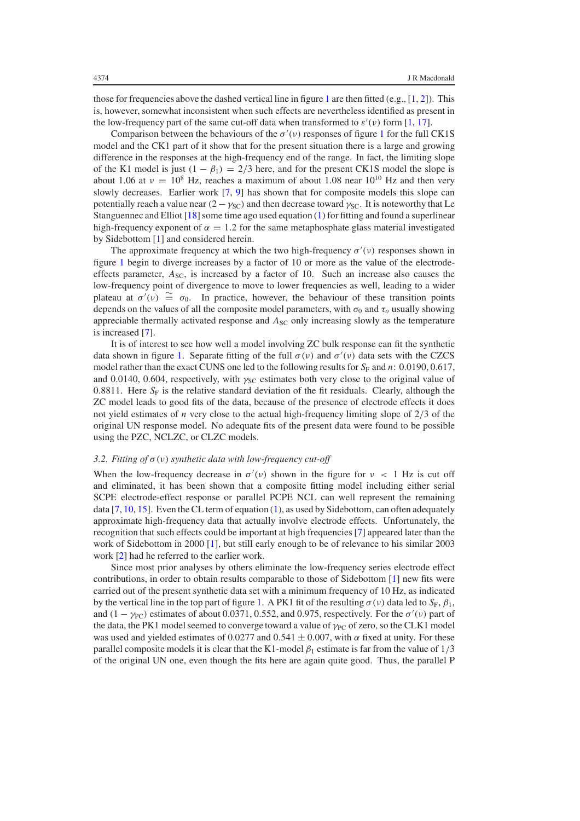those for frequencies above the dashed vertical line in figure [1](#page-4-0) are then fitted (e.g.,  $[1, 2]$  $[1, 2]$  $[1, 2]$ ). This is, however, somewhat inconsistent when such effects are nevertheless identified as present in the low-frequency part of the same cut-off data when transformed to  $\varepsilon'(v)$  form [\[1,](#page-13-0) [17\]](#page-13-16).

Comparison between the behaviours of the  $\sigma'(v)$  responses of figure [1](#page-4-0) for the full CK1S model and the CK1 part of it show that for the present situation there is a large and growing difference in the responses at the high-frequency end of the range. In fact, the limiting slope of the K1 model is just  $(1 - \beta_1) = 2/3$  here, and for the present CK1S model the slope is about 1.06 at  $v = 10^8$  Hz, reaches a maximum of about 1.08 near 10<sup>10</sup> Hz and then very slowly decreases. Earlier work [\[7,](#page-13-6) [9\]](#page-13-8) has shown that for composite models this slope can potentially reach a value near  $(2 - \gamma_{\rm SC})$  and then decrease toward  $\gamma_{\rm SC}$ . It is noteworthy that Le Stanguennec and Elliot [\[18\]](#page-13-17) some time ago used equation [\(1\)](#page-1-0) for fitting and found a superlinear high-frequency exponent of  $\alpha = 1.2$  for the same metaphosphate glass material investigated by Sidebottom [\[1\]](#page-13-0) and considered herein.

The approximate frequency at which the two high-frequency  $\sigma'(v)$  responses shown in figure [1](#page-4-0) begin to diverge increases by a factor of 10 or more as the value of the electrodeeffects parameter,  $A_{SC}$ , is increased by a factor of 10. Such an increase also causes the low-frequency point of divergence to move to lower frequencies as well, leading to a wider plateau at  $\sigma'(v) \cong \sigma_0$ . In practice, however, the behaviour of these transition points depends on the values of all the composite model parameters, with  $\sigma_0$  and  $\tau_o$  usually showing appreciable thermally activated response and  $A_{SC}$  only increasing slowly as the temperature is increased [\[7\]](#page-13-6).

<span id="page-5-0"></span>It is of interest to see how well a model involving ZC bulk response can fit the synthetic data shown in figure [1.](#page-4-0) Separate fitting of the full  $\sigma(v)$  and  $\sigma'(v)$  data sets with the CZCS model rather than the exact CUNS one led to the following results for  $S_F$  and *n*: 0.0190, 0.617, and 0.0140, 0.604, respectively, with  $\gamma_{SC}$  estimates both very close to the original value of 0.8811. Here  $S_F$  is the relative standard deviation of the fit residuals. Clearly, although the ZC model leads to good fits of the data, because of the presence of electrode effects it does not yield estimates of *n* very close to the actual high-frequency limiting slope of 2/3 of the original UN response model. No adequate fits of the present data were found to be possible using the PZC, NCLZC, or CLZC models.

#### *3.2. Fitting of* σ (ν) *synthetic data with low-frequency cut-off*

When the low-frequency decrease in  $\sigma'(v)$  shown in the figure for  $v < 1$  Hz is cut off and eliminated, it has been shown that a composite fitting model including either serial SCPE electrode-effect response or parallel PCPE NCL can well represent the remaining data  $[7, 10, 15]$  $[7, 10, 15]$  $[7, 10, 15]$  $[7, 10, 15]$  $[7, 10, 15]$ . Even the CL term of equation [\(1\)](#page-1-0), as used by Sidebottom, can often adequately approximate high-frequency data that actually involve electrode effects. Unfortunately, the recognition that such effects could be important at high frequencies [\[7\]](#page-13-6) appeared later than the work of Sidebottom in 2000 [\[1\]](#page-13-0), but still early enough to be of relevance to his similar 2003 work [\[2\]](#page-13-1) had he referred to the earlier work.

Since most prior analyses by others eliminate the low-frequency series electrode effect contributions, in order to obtain results comparable to those of Sidebottom [\[1\]](#page-13-0) new fits were carried out of the present synthetic data set with a minimum frequency of 10 Hz, as indicated by the vertical line in the top part of figure [1.](#page-4-0) A PK1 fit of the resulting  $\sigma(v)$  data led to  $S_F$ ,  $\beta_1$ , and  $(1 - \gamma_{PC})$  estimates of about 0.0371, 0.552, and 0.975, respectively. For the  $\sigma'(v)$  part of the data, the PK1 model seemed to converge toward a value of  $\gamma_{PC}$  of zero, so the CLK1 model was used and yielded estimates of 0.0277 and 0.541  $\pm$  0.007, with  $\alpha$  fixed at unity. For these parallel composite models it is clear that the K1-model  $\beta_1$  estimate is far from the value of  $1/3$ of the original UN one, even though the fits here are again quite good. Thus, the parallel P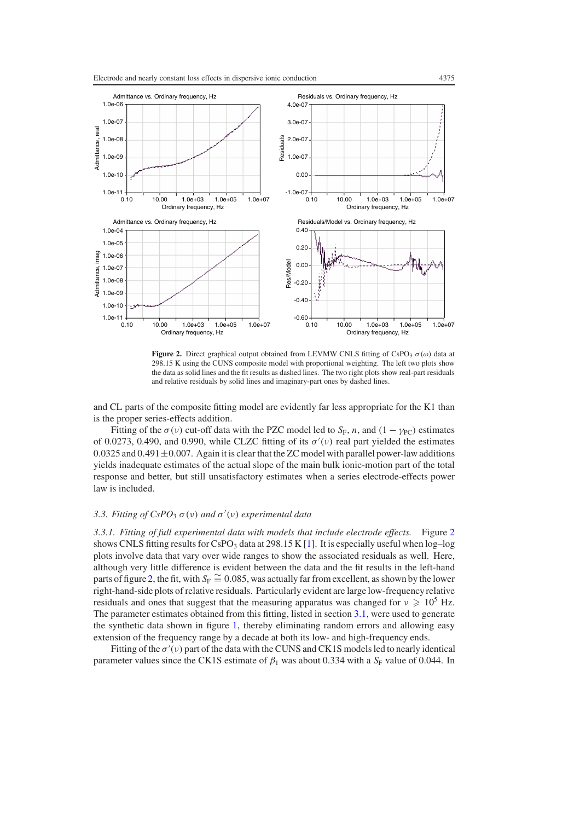<span id="page-6-1"></span>

**Figure 2.** Direct graphical output obtained from LEVMW CNLS fitting of CsPO<sub>3</sub>  $\sigma(\omega)$  data at 298.15 K using the CUNS composite model with proportional weighting. The left two plots show the data as solid lines and the fit results as dashed lines. The two right plots show real-part residuals and relative residuals by solid lines and imaginary-part ones by dashed lines.

and CL parts of the composite fitting model are evidently far less appropriate for the K1 than is the proper series-effects addition.

<span id="page-6-0"></span>Fitting of the  $\sigma(\nu)$  cut-off data with the PZC model led to *S<sub>F</sub>*, *n*, and  $(1 - \gamma_{PC})$  estimates of 0.0273, 0.490, and 0.990, while CLZC fitting of its  $\sigma'(v)$  real part yielded the estimates 0.0325 and 0.491 $\pm$ 0.007. Again it is clear that the ZC model with parallel power-law additions yields inadequate estimates of the actual slope of the main bulk ionic-motion part of the total response and better, but still unsatisfactory estimates when a series electrode-effects power law is included.

# *3.3. Fitting of CsPO*<sup>3</sup> σ (ν) *and* σ (ν) *experimental data*

*3.3.1. Fitting of full experimental data with models that include electrode effects.* Figure [2](#page-6-1) shows CNLS fitting results for  $C_5PO_3$  data at 298.15 K [\[1\]](#page-13-0). It is especially useful when  $log-log$ plots involve data that vary over wide ranges to show the associated residuals as well. Here, although very little difference is evident between the data and the fit results in the left-hand parts of figure [2,](#page-6-1) the fit, with  $S_F \cong 0.085$ , was actually far from excellent, as shown by the lower right-hand-side plots of relative residuals. Particularly evident are large low-frequency relative residuals and ones that suggest that the measuring apparatus was changed for  $v \geqslant 10^5$  Hz. The parameter estimates obtained from this fitting, listed in section [3.1,](#page-4-1) were used to generate the synthetic data shown in figure [1,](#page-4-0) thereby eliminating random errors and allowing easy extension of the frequency range by a decade at both its low- and high-frequency ends.

Fitting of the  $\sigma'(v)$  part of the data with the CUNS and CK1S models led to nearly identical parameter values since the CK1S estimate of  $\beta_1$  was about 0.334 with a  $S_F$  value of 0.044. In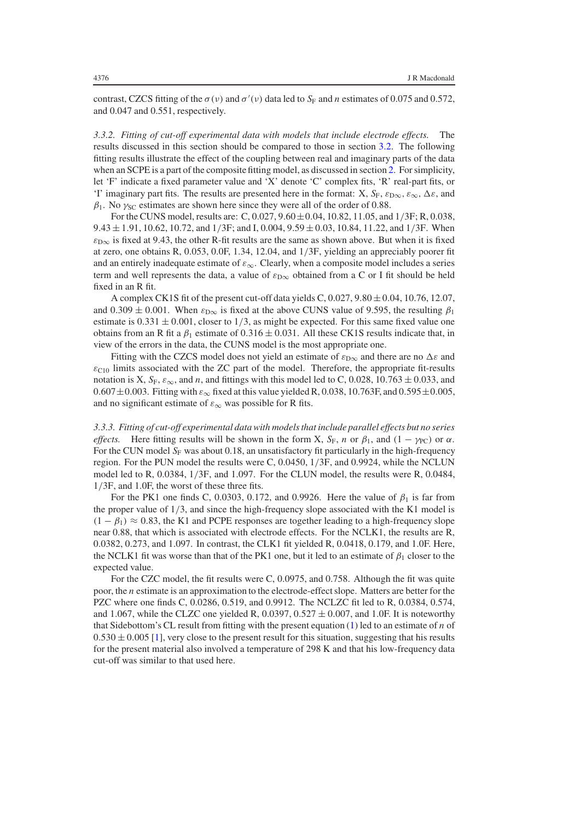contrast, CZCS fitting of the  $\sigma(v)$  and  $\sigma'(v)$  data led to  $S_F$  and *n* estimates of 0.075 and 0.572, and 0.047 and 0.551, respectively.

*3.3.2. Fitting of cut-off experimental data with models that include electrode effects.* The results discussed in this section should be compared to those in section [3.2.](#page-5-0) The following fitting results illustrate the effect of the coupling between real and imaginary parts of the data when an SCPE is a part of the composite fitting model, as discussed in section [2.](#page-1-2) For simplicity, let 'F' indicate a fixed parameter value and 'X' denote 'C' complex fits, 'R' real-part fits, or 'I' imaginary part fits. The results are presented here in the format: X,  $S_F$ ,  $\varepsilon_{D\infty}$ ,  $\varepsilon_{\infty}$ ,  $\Delta\varepsilon$ , and  $\beta_1$ . No  $\gamma_{SC}$  estimates are shown here since they were all of the order of 0.88.

For the CUNS model, results are: C, 0.027, 9.60±0.04, 10.82, 11.05, and 1/3F; R, 0.038,  $9.43 \pm 1.91$ , 10.62, 10.72, and  $1/3F$ ; and I, 0.004,  $9.59 \pm 0.03$ , 10.84, 11.22, and  $1/3F$ . When  $\varepsilon_{\text{D}\infty}$  is fixed at 9.43, the other R-fit results are the same as shown above. But when it is fixed at zero, one obtains R, 0.053, 0.0F, 1.34, 12.04, and 1/3F, yielding an appreciably poorer fit and an entirely inadequate estimate of  $\varepsilon_{\infty}$ . Clearly, when a composite model includes a series term and well represents the data, a value of  $\varepsilon_{D\infty}$  obtained from a C or I fit should be held fixed in an R fit.

A complex CK1S fit of the present cut-off data yields C,  $0.027$ ,  $9.80 \pm 0.04$ ,  $10.76$ ,  $12.07$ , and 0.309  $\pm$  0.001. When  $\varepsilon_{D\infty}$  is fixed at the above CUNS value of 9.595, the resulting  $\beta_1$ estimate is  $0.331 \pm 0.001$ , closer to  $1/3$ , as might be expected. For this same fixed value one obtains from an R fit a  $\beta_1$  estimate of 0.316  $\pm$  0.031. All these CK1S results indicate that, in view of the errors in the data, the CUNS model is the most appropriate one.

Fitting with the CZCS model does not yield an estimate of  $\varepsilon_{\text{D}\infty}$  and there are no  $\Delta \varepsilon$  and  $\varepsilon_{\text{C10}}$  limits associated with the ZC part of the model. Therefore, the appropriate fit-results notation is X,  $S_F$ ,  $\varepsilon_{\infty}$ , and *n*, and fittings with this model led to C, 0.028, 10.763  $\pm$  0.033, and  $0.607 \pm 0.003$ . Fitting with  $\varepsilon_{\infty}$  fixed at this value yielded R, 0.038, 10.763F, and 0.595  $\pm$ 0.005, and no significant estimate of  $\varepsilon_{\infty}$  was possible for R fits.

*3.3.3. Fitting of cut-off experimental data with models that include parallel effects but no series effects.* Here fitting results will be shown in the form X,  $S_F$ , *n* or  $\beta_1$ , and  $(1 - \gamma_{PC})$  or  $\alpha$ . For the CUN model  $S_F$  was about 0.18, an unsatisfactory fit particularly in the high-frequency region. For the PUN model the results were C, 0.0450, 1/3F, and 0.9924, while the NCLUN model led to R, 0.0384, 1/3F, and 1.097. For the CLUN model, the results were R, 0.0484, 1/3F, and 1.0F, the worst of these three fits.

For the PK1 one finds C, 0.0303, 0.172, and 0.9926. Here the value of  $\beta_1$  is far from the proper value of 1/3, and since the high-frequency slope associated with the K1 model is  $(1 - \beta_1) \approx 0.83$ , the K1 and PCPE responses are together leading to a high-frequency slope near 0.88, that which is associated with electrode effects. For the NCLK1, the results are R, 0.0382, 0.273, and 1.097. In contrast, the CLK1 fit yielded R, 0.0418, 0.179, and 1.0F. Here, the NCLK1 fit was worse than that of the PK1 one, but it led to an estimate of  $\beta_1$  closer to the expected value.

For the CZC model, the fit results were C, 0.0975, and 0.758. Although the fit was quite poor, the *n* estimate is an approximation to the electrode-effect slope. Matters are better for the PZC where one finds C, 0.0286, 0.519, and 0.9912. The NCLZC fit led to R, 0.0384, 0.574, and 1.067, while the CLZC one yielded R,  $0.0397, 0.527 \pm 0.007$ , and 1.0F. It is noteworthy that Sidebottom's CL result from fitting with the present equation [\(1\)](#page-1-0) led to an estimate of *n* of  $0.530 \pm 0.005$  [\[1\]](#page-13-0), very close to the present result for this situation, suggesting that his results for the present material also involved a temperature of 298 K and that his low-frequency data cut-off was similar to that used here.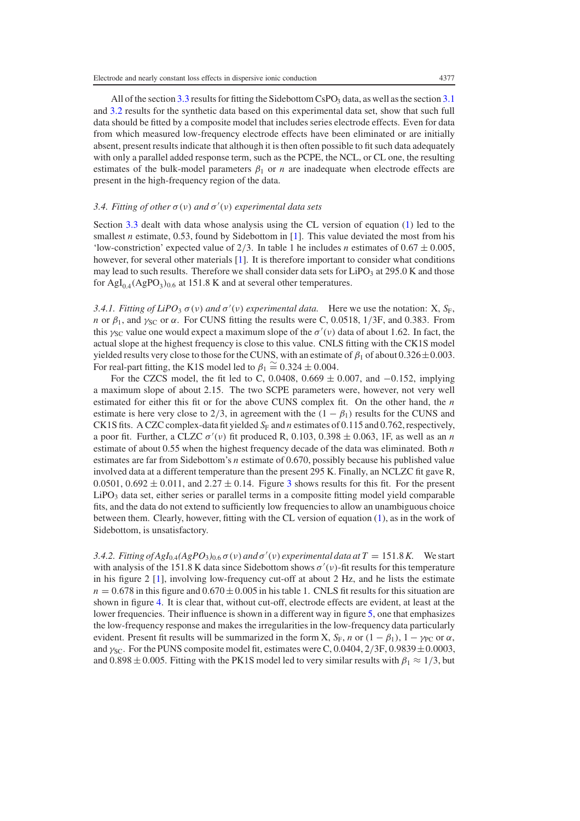<span id="page-8-0"></span>All of the section  $3.3$  results for fitting the Sidebottom CsPO<sub>3</sub> data, as well as the section  $3.1$ and [3.2](#page-5-0) results for the synthetic data based on this experimental data set, show that such full data should be fitted by a composite model that includes series electrode effects. Even for data from which measured low-frequency electrode effects have been eliminated or are initially absent, present results indicate that although it is then often possible to fit such data adequately with only a parallel added response term, such as the PCPE, the NCL, or CL one, the resulting estimates of the bulk-model parameters  $\beta_1$  or *n* are inadequate when electrode effects are present in the high-frequency region of the data.

# 3.4. Fitting of other  $\sigma(v)$  and  $\sigma'(v)$  experimental data sets

Section [3.3](#page-6-0) dealt with data whose analysis using the CL version of equation [\(1\)](#page-1-0) led to the smallest *n* estimate, 0.53, found by Sidebottom in [\[1\]](#page-13-0). This value deviated the most from his 'low-constriction' expected value of 2/3. In table 1 he includes *n* estimates of  $0.67 \pm 0.005$ , however, for several other materials [\[1\]](#page-13-0). It is therefore important to consider what conditions may lead to such results. Therefore we shall consider data sets for  $LiPO<sub>3</sub>$  at 295.0 K and those for  $\text{AgI}_{0.4}(\text{AgPO}_3)_{0.6}$  at 151.8 K and at several other temperatures.

*3.4.1. Fitting of LiPO*<sub>3</sub>  $\sigma$ (*v*) *and*  $\sigma'$ (*v*) *experimental data.* Here we use the notation: X, S<sub>F</sub>, *n* or  $\beta_1$ , and  $\gamma_{SC}$  or  $\alpha$ . For CUNS fitting the results were C, 0.0518, 1/3F, and 0.383. From this  $\gamma_{SC}$  value one would expect a maximum slope of the  $\sigma'(v)$  data of about 1.62. In fact, the actual slope at the highest frequency is close to this value. CNLS fitting with the CK1S model yielded results very close to those for the CUNS, with an estimate of  $\beta_1$  of about 0.326  $\pm$ 0.003. For real-part fitting, the K1S model led to  $\beta_1 \cong 0.324 \pm 0.004$ .

For the CZCS model, the fit led to C, 0.0408,  $0.669 \pm 0.007$ , and  $-0.152$ , implying a maximum slope of about 2.15. The two SCPE parameters were, however, not very well estimated for either this fit or for the above CUNS complex fit. On the other hand, the *n* estimate is here very close to 2/3, in agreement with the  $(1 - \beta_1)$  results for the CUNS and CK1S fits. A CZC complex-data fit yielded  $S_F$  and *n* estimates of 0.115 and 0.762, respectively, a poor fit. Further, a CLZC  $\sigma'(v)$  fit produced R, 0.103, 0.398  $\pm$  0.063, 1F, as well as an *n* estimate of about 0.55 when the highest frequency decade of the data was eliminated. Both *n* estimates are far from Sidebottom's *n* estimate of 0.670, possibly because his published value involved data at a different temperature than the present 295 K. Finally, an NCLZC fit gave R, 0.0501, 0.692  $\pm$  0.011, and 2.27  $\pm$  0.14. Figure [3](#page-9-0) shows results for this fit. For the present  $LiPO<sub>3</sub>$  data set, either series or parallel terms in a composite fitting model yield comparable fits, and the data do not extend to sufficiently low frequencies to allow an unambiguous choice between them. Clearly, however, fitting with the CL version of equation [\(1\)](#page-1-0), as in the work of Sidebottom, is unsatisfactory.

*3.4.2. Fitting of AgI*<sub>0.4</sub> $(AgPO_3)_{0.6}$   $\sigma$  (*v*) *and*  $\sigma'$  (*v*) *experimental data at*  $T = 151.8 K$ . We start with analysis of the 151.8 K data since Sidebottom shows  $\sigma'(v)$ -fit results for this temperature in his figure 2 [\[1\]](#page-13-0), involving low-frequency cut-off at about 2 Hz, and he lists the estimate  $n = 0.678$  in this figure and  $0.670 \pm 0.005$  in his table 1. CNLS fit results for this situation are shown in figure [4.](#page-10-0) It is clear that, without cut-off, electrode effects are evident, at least at the lower frequencies. Their influence is shown in a different way in figure [5,](#page-11-0) one that emphasizes the low-frequency response and makes the irregularities in the low-frequency data particularly evident. Present fit results will be summarized in the form X,  $S_F$ , *n* or  $(1 - \beta_1)$ ,  $1 - \gamma_{PC}$  or  $\alpha$ , and  $\gamma_{\text{SC}}$ . For the PUNS composite model fit, estimates were C, 0.0404, 2/3F, 0.9839  $\pm$ 0.0003, and 0.898  $\pm$  0.005. Fitting with the PK1S model led to very similar results with  $\beta_1 \approx 1/3$ , but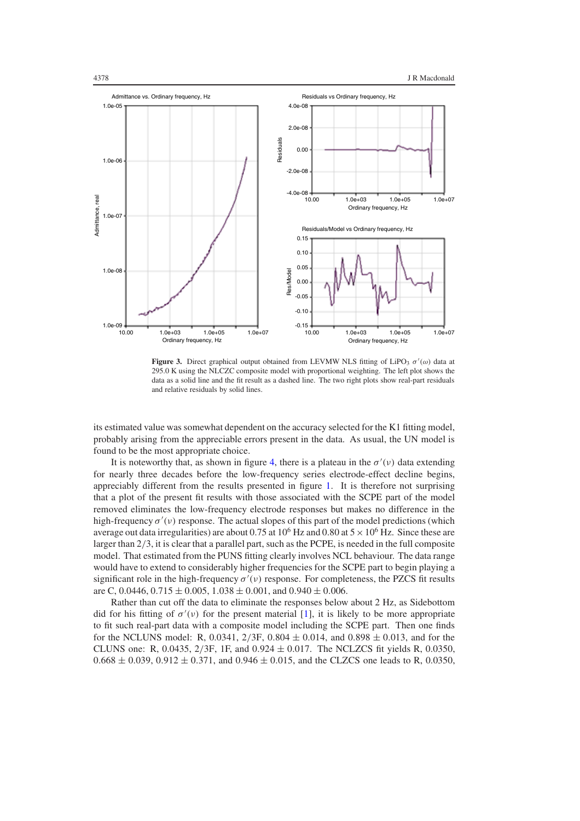<span id="page-9-0"></span>

**Figure 3.** Direct graphical output obtained from LEVMW NLS fitting of LiPO<sub>3</sub>  $\sigma'(\omega)$  data at 295.0 K using the NLCZC composite model with proportional weighting. The left plot shows the data as a solid line and the fit result as a dashed line. The two right plots show real-part residuals and relative residuals by solid lines.

its estimated value was somewhat dependent on the accuracy selected for the K1 fitting model, probably arising from the appreciable errors present in the data. As usual, the UN model is found to be the most appropriate choice.

It is noteworthy that, as shown in figure [4,](#page-10-0) there is a plateau in the  $\sigma'(v)$  data extending for nearly three decades before the low-frequency series electrode-effect decline begins, appreciably different from the results presented in figure [1.](#page-4-0) It is therefore not surprising that a plot of the present fit results with those associated with the SCPE part of the model removed eliminates the low-frequency electrode responses but makes no difference in the high-frequency  $\sigma'(v)$  response. The actual slopes of this part of the model predictions (which average out data irregularities) are about 0.75 at 10<sup>6</sup> Hz and 0.80 at  $5 \times 10^6$  Hz. Since these are larger than 2/3, it is clear that a parallel part, such as the PCPE, is needed in the full composite model. That estimated from the PUNS fitting clearly involves NCL behaviour. The data range would have to extend to considerably higher frequencies for the SCPE part to begin playing a significant role in the high-frequency  $\sigma'(v)$  response. For completeness, the PZCS fit results are C, 0.0446,  $0.715 \pm 0.005$ ,  $1.038 \pm 0.001$ , and  $0.940 \pm 0.006$ .

Rather than cut off the data to eliminate the responses below about 2 Hz, as Sidebottom did for his fitting of  $\sigma'(v)$  for the present material [\[1\]](#page-13-0), it is likely to be more appropriate to fit such real-part data with a composite model including the SCPE part. Then one finds for the NCLUNS model: R, 0.0341,  $2/3F$ , 0.804  $\pm$  0.014, and 0.898  $\pm$  0.013, and for the CLUNS one: R, 0.0435,  $2/3F$ , 1F, and  $0.924 \pm 0.017$ . The NCLZCS fit yields R, 0.0350,  $0.668 \pm 0.039$ ,  $0.912 \pm 0.371$ , and  $0.946 \pm 0.015$ , and the CLZCS one leads to R, 0.0350,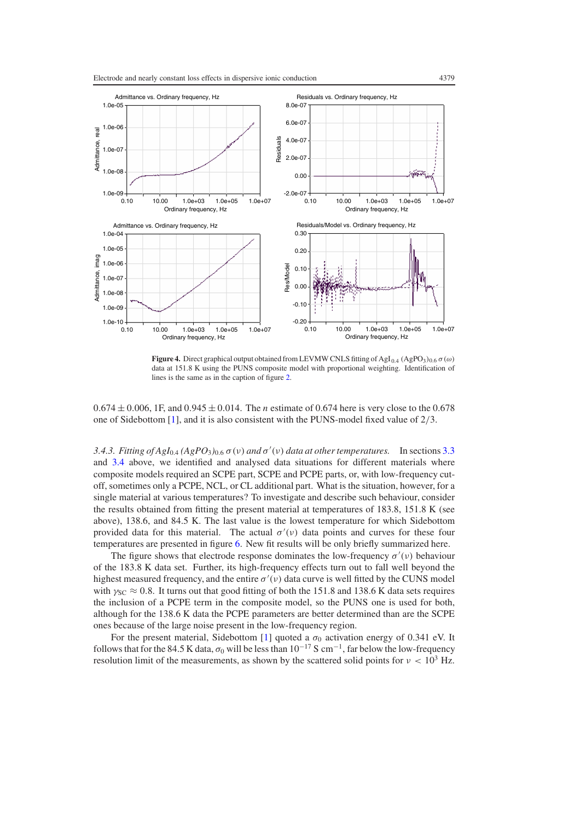<span id="page-10-0"></span>

**Figure 4.** Direct graphical output obtained from LEVMW CNLS fitting of AgI<sub>0.4</sub> (AgPO<sub>3</sub>)<sub>0.6</sub>  $\sigma(\omega)$ data at 151.8 K using the PUNS composite model with proportional weighting. Identification of lines is the same as in the caption of figure [2.](#page-6-1)

 $0.674 \pm 0.006$ , 1F, and  $0.945 \pm 0.014$ . The *n* estimate of 0.674 here is very close to the 0.678 one of Sidebottom [\[1\]](#page-13-0), and it is also consistent with the PUNS-model fixed value of  $2/3$ .

*3.4.3. Fitting of AgI*<sub>0.4</sub>  $(AgPO_3)_{0.6}$   $\sigma$  (*v*) *and*  $\sigma'$  (*v*) *data at other temperatures.* In sections [3.3](#page-6-0) and [3.4](#page-8-0) above, we identified and analysed data situations for different materials where composite models required an SCPE part, SCPE and PCPE parts, or, with low-frequency cutoff, sometimes only a PCPE, NCL, or CL additional part. What is the situation, however, for a single material at various temperatures? To investigate and describe such behaviour, consider the results obtained from fitting the present material at temperatures of 183.8, 151.8 K (see above), 138.6, and 84.5 K. The last value is the lowest temperature for which Sidebottom provided data for this material. The actual  $\sigma'(v)$  data points and curves for these four temperatures are presented in figure [6.](#page-11-1) New fit results will be only briefly summarized here.

The figure shows that electrode response dominates the low-frequency  $\sigma'(\nu)$  behaviour of the 183.8 K data set. Further, its high-frequency effects turn out to fall well beyond the highest measured frequency, and the entire  $\sigma'(v)$  data curve is well fitted by the CUNS model with  $\gamma_{SC} \approx 0.8$ . It turns out that good fitting of both the 151.8 and 138.6 K data sets requires the inclusion of a PCPE term in the composite model, so the PUNS one is used for both, although for the 138.6 K data the PCPE parameters are better determined than are the SCPE ones because of the large noise present in the low-frequency region.

For the present material, Sidebottom [\[1\]](#page-13-0) quoted a  $\sigma_0$  activation energy of 0.341 eV. It follows that for the 84.5 K data,  $\sigma_0$  will be less than  $10^{-17}$  S cm<sup>-1</sup>, far below the low-frequency resolution limit of the measurements, as shown by the scattered solid points for  $v < 10^3$  Hz.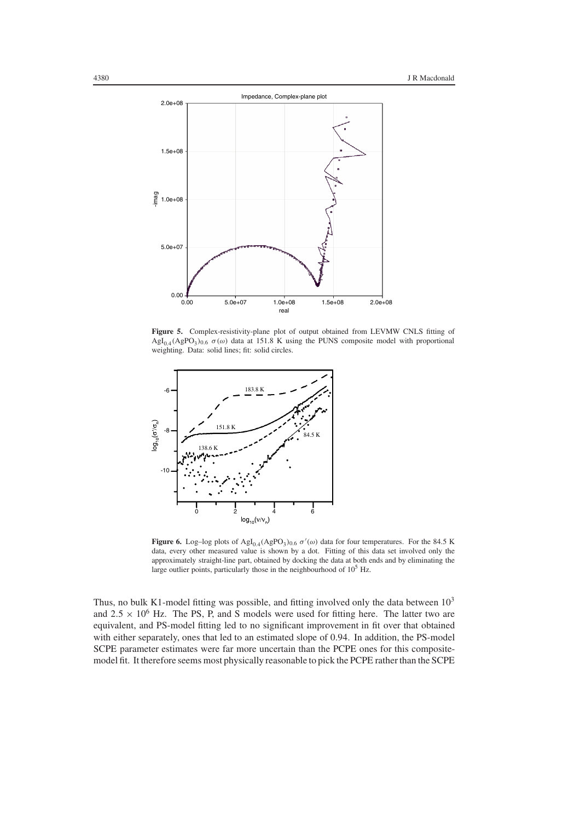<span id="page-11-0"></span>

<span id="page-11-1"></span>Figure 5. Complex-resistivity-plane plot of output obtained from LEVMW CNLS fitting of  $AgI<sub>0.4</sub>(AgPO<sub>3</sub>)<sub>0.6</sub> \sigma(\omega)$  data at 151.8 K using the PUNS composite model with proportional weighting. Data: solid lines; fit: solid circles.



**Figure 6.** Log-log plots of  $\text{AgI}_{0.4}(\text{AgPO}_3)_{0.6} \sigma'(\omega)$  data for four temperatures. For the 84.5 K data, every other measured value is shown by a dot. Fitting of this data set involved only the approximately straight-line part, obtained by docking the data at both ends and by eliminating the large outlier points, particularly those in the neighbourhood of  $10<sup>5</sup>$  Hz.

Thus, no bulk K1-model fitting was possible, and fitting involved only the data between  $10<sup>3</sup>$ and  $2.5 \times 10^6$  Hz. The PS, P, and S models were used for fitting here. The latter two are equivalent, and PS-model fitting led to no significant improvement in fit over that obtained with either separately, ones that led to an estimated slope of 0.94. In addition, the PS-model SCPE parameter estimates were far more uncertain than the PCPE ones for this compositemodel fit. It therefore seems most physically reasonable to pick the PCPE rather than the SCPE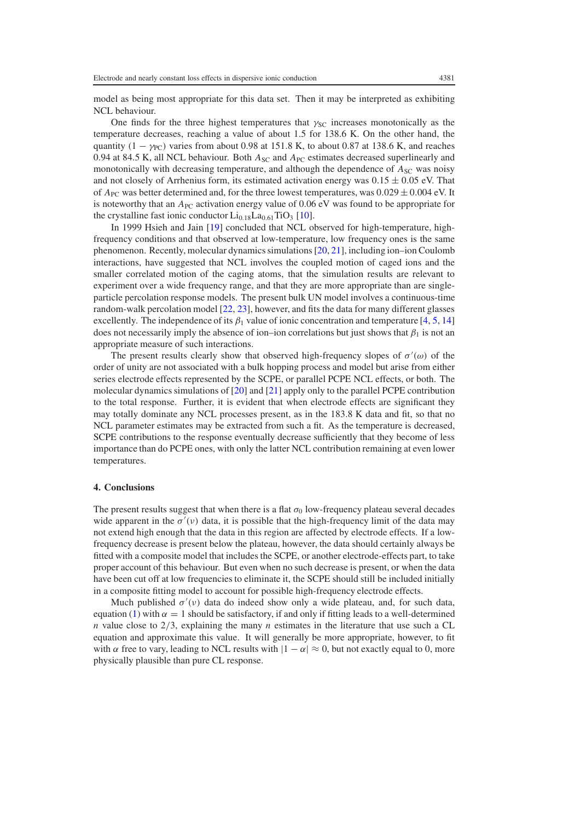model as being most appropriate for this data set. Then it may be interpreted as exhibiting NCL behaviour.

One finds for the three highest temperatures that  $\gamma_{SC}$  increases monotonically as the temperature decreases, reaching a value of about 1.5 for 138.6 K. On the other hand, the quantity  $(1 - \gamma_{PC})$  varies from about 0.98 at 151.8 K, to about 0.87 at 138.6 K, and reaches 0.94 at 84.5 K, all NCL behaviour. Both  $A_{SC}$  and  $A_{PC}$  estimates decreased superlinearly and monotonically with decreasing temperature, and although the dependence of  $A_{SC}$  was noisy and not closely of Arrhenius form, its estimated activation energy was  $0.15 \pm 0.05$  eV. That of  $A_{PC}$  was better determined and, for the three lowest temperatures, was  $0.029 \pm 0.004$  eV. It is noteworthy that an *A*<sub>PC</sub> activation energy value of 0.06 eV was found to be appropriate for the crystalline fast ionic conductor  $Li_{0.18}La_{0.61}TiO_3$  [\[10\]](#page-13-12).

In 1999 Hsieh and Jain [\[19\]](#page-13-18) concluded that NCL observed for high-temperature, highfrequency conditions and that observed at low-temperature, low frequency ones is the same phenomenon. Recently, molecular dynamics simulations [\[20,](#page-13-19) [21\]](#page-13-20), including ion–ion Coulomb interactions, have suggested that NCL involves the coupled motion of caged ions and the smaller correlated motion of the caging atoms, that the simulation results are relevant to experiment over a wide frequency range, and that they are more appropriate than are singleparticle percolation response models. The present bulk UN model involves a continuous-time random-walk percolation model [\[22,](#page-13-21) [23\]](#page-13-22), however, and fits the data for many different glasses excellently. The independence of its  $\beta_1$  value of ionic concentration and temperature [\[4,](#page-13-3) [5,](#page-13-4) [14\]](#page-13-13) does not necessarily imply the absence of ion–ion correlations but just shows that  $\beta_1$  is not an appropriate measure of such interactions.

The present results clearly show that observed high-frequency slopes of  $\sigma'(\omega)$  of the order of unity are not associated with a bulk hopping process and model but arise from either series electrode effects represented by the SCPE, or parallel PCPE NCL effects, or both. The molecular dynamics simulations of [\[20\]](#page-13-19) and [\[21\]](#page-13-20) apply only to the parallel PCPE contribution to the total response. Further, it is evident that when electrode effects are significant they may totally dominate any NCL processes present, as in the 183.8 K data and fit, so that no NCL parameter estimates may be extracted from such a fit. As the temperature is decreased, SCPE contributions to the response eventually decrease sufficiently that they become of less importance than do PCPE ones, with only the latter NCL contribution remaining at even lower temperatures.

# **4. Conclusions**

The present results suggest that when there is a flat  $\sigma_0$  low-frequency plateau several decades wide apparent in the  $\sigma'(v)$  data, it is possible that the high-frequency limit of the data may not extend high enough that the data in this region are affected by electrode effects. If a lowfrequency decrease is present below the plateau, however, the data should certainly always be fitted with a composite model that includes the SCPE, or another electrode-effects part, to take proper account of this behaviour. But even when no such decrease is present, or when the data have been cut off at low frequencies to eliminate it, the SCPE should still be included initially in a composite fitting model to account for possible high-frequency electrode effects.

Much published  $\sigma'(\nu)$  data do indeed show only a wide plateau, and, for such data, equation [\(1\)](#page-1-0) with  $\alpha = 1$  should be satisfactory, if and only if fitting leads to a well-determined *n* value close to 2/3, explaining the many *n* estimates in the literature that use such a CL equation and approximate this value. It will generally be more appropriate, however, to fit with  $\alpha$  free to vary, leading to NCL results with  $|1 - \alpha| \approx 0$ , but not exactly equal to 0, more physically plausible than pure CL response.